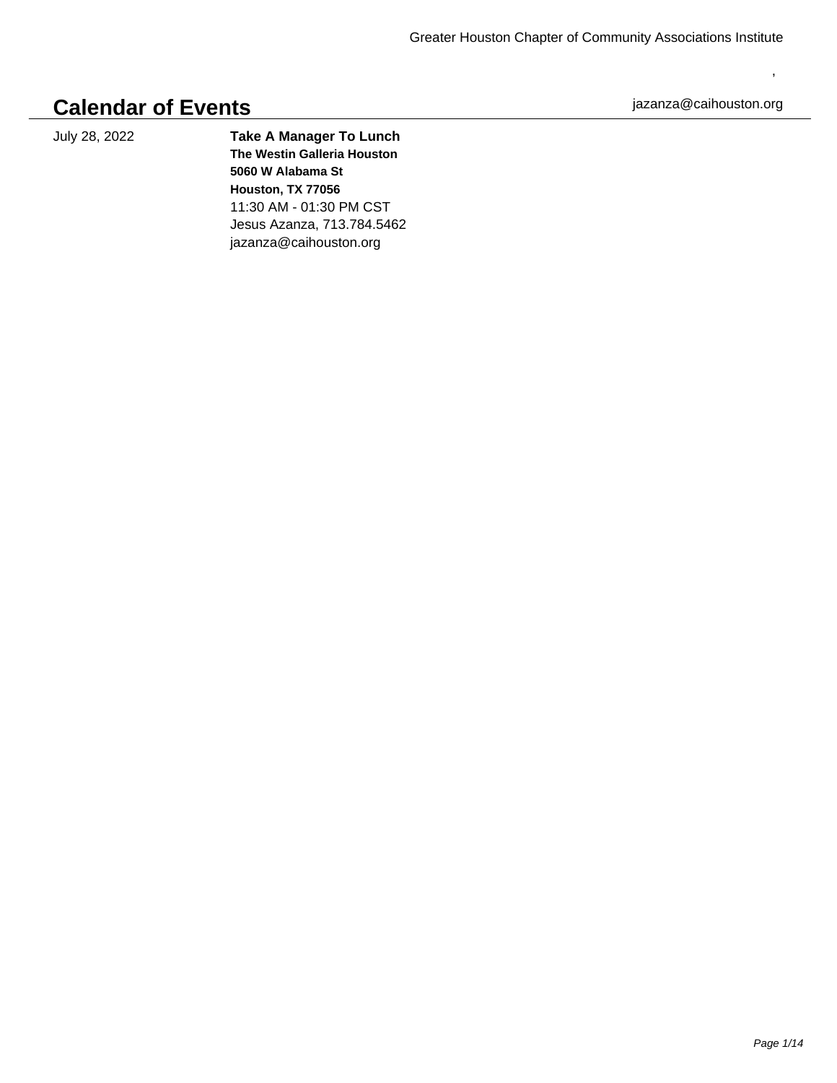## **Calendar of Events**

July 28, 2022 **Take A Manager To Lunch The Westin Galleria Houston 5060 W Alabama St Houston, TX 77056** 11:30 AM - 01:30 PM CST Jesus Azanza, 713.784.5462 jazanza@caihouston.org

jazanza@caihouston.org

,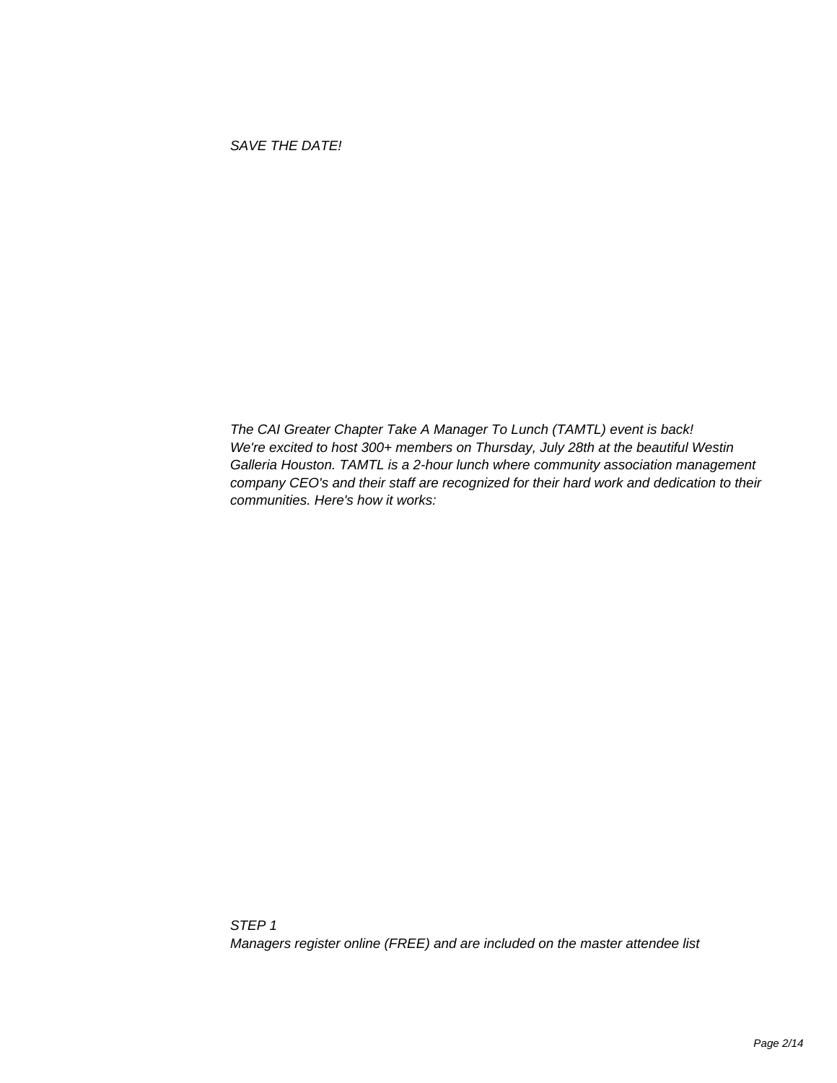The CAI Greater Chapter Take A Manager To Lunch (TAMTL) event is back! We're excited to host 300+ members on Thursday, July 28th at the beautiful Westin Galleria Houston. TAMTL is a 2-hour lunch where community association management company CEO's and their staff are recognized for their hard work and dedication to their communities. Here's how it works: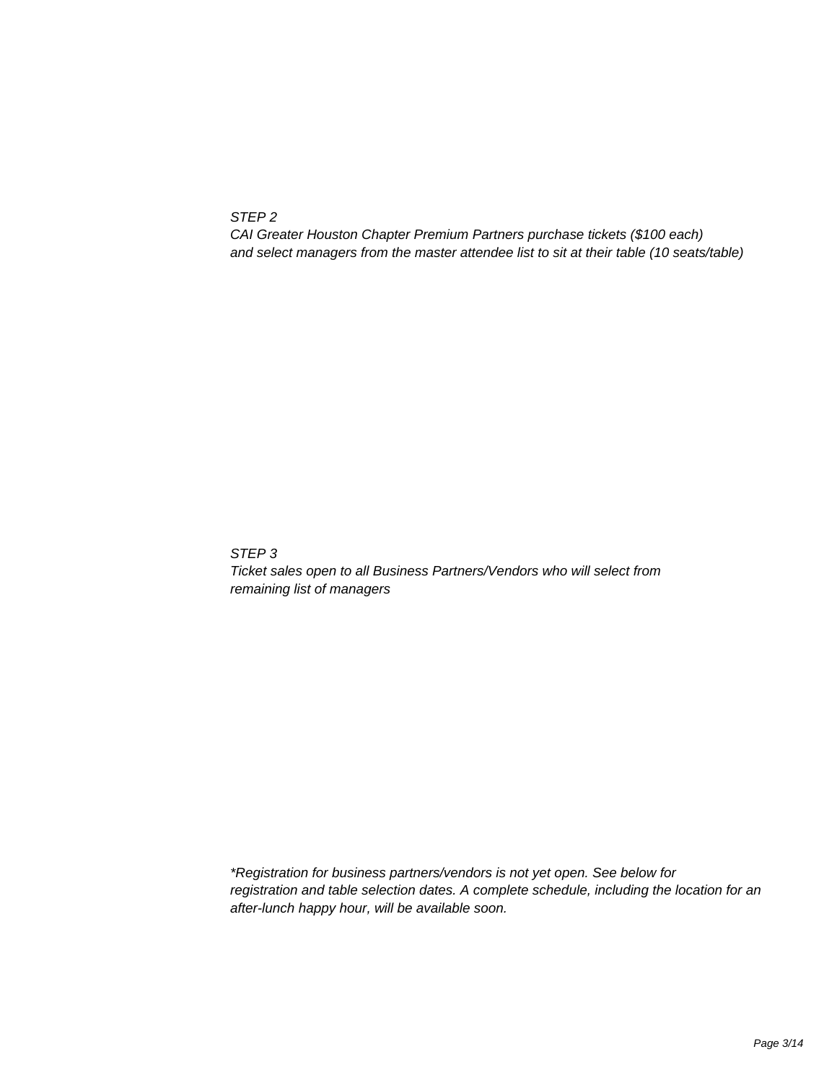STEP 2

 CAI Greater Houston Chapter Premium Partners purchase tickets (\$100 each) and select managers from the master attendee list to sit at their table (10 seats/table)

 STEP 3

 Ticket sales open to all Business Partners/Vendors who will select from remaining list of managers

 \*Registration for business partners/vendors is not yet open. See below for registration and table selection dates. A complete schedule, including the location for an after-lunch happy hour, will be available soon.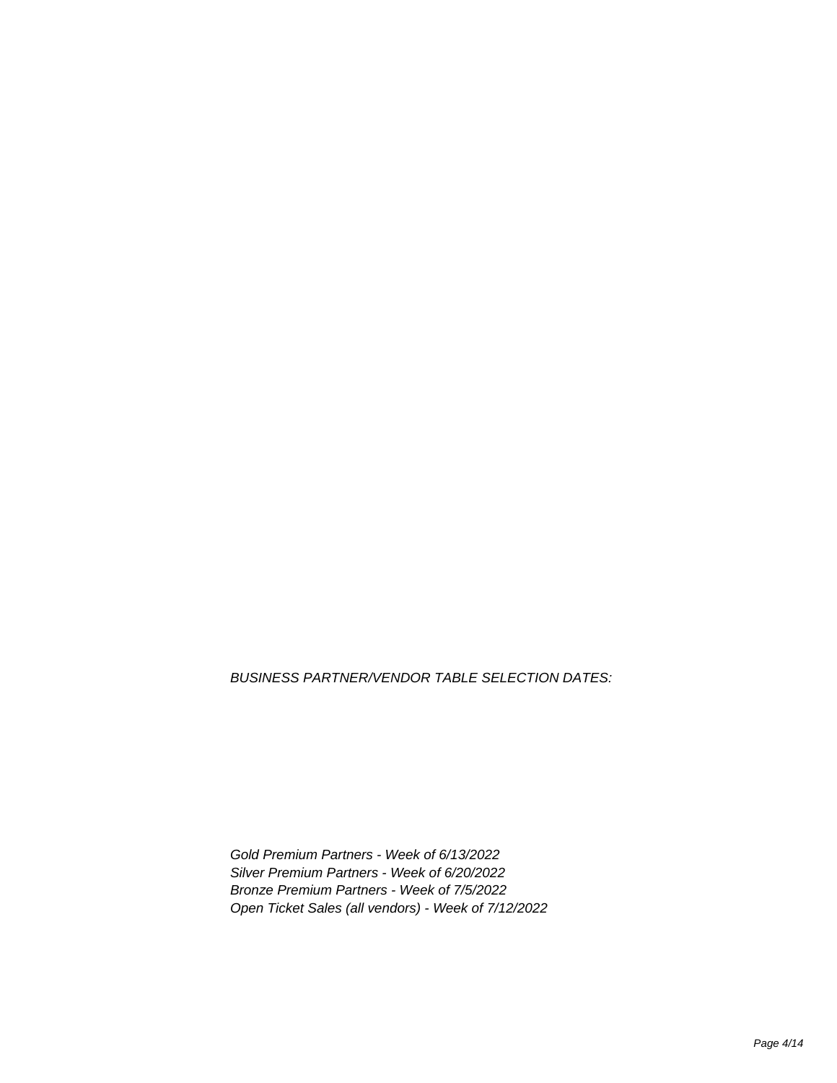BUSINESS PARTNER/VENDOR TABLE SELECTION DATES:

Gold Premium Partners - Week of 6/13/2022 Silver Premium Partners - Week of 6/20/2022 Bronze Premium Partners - Week of 7/5/2022 Open Ticket Sales (all vendors) - Week of 7/12/2022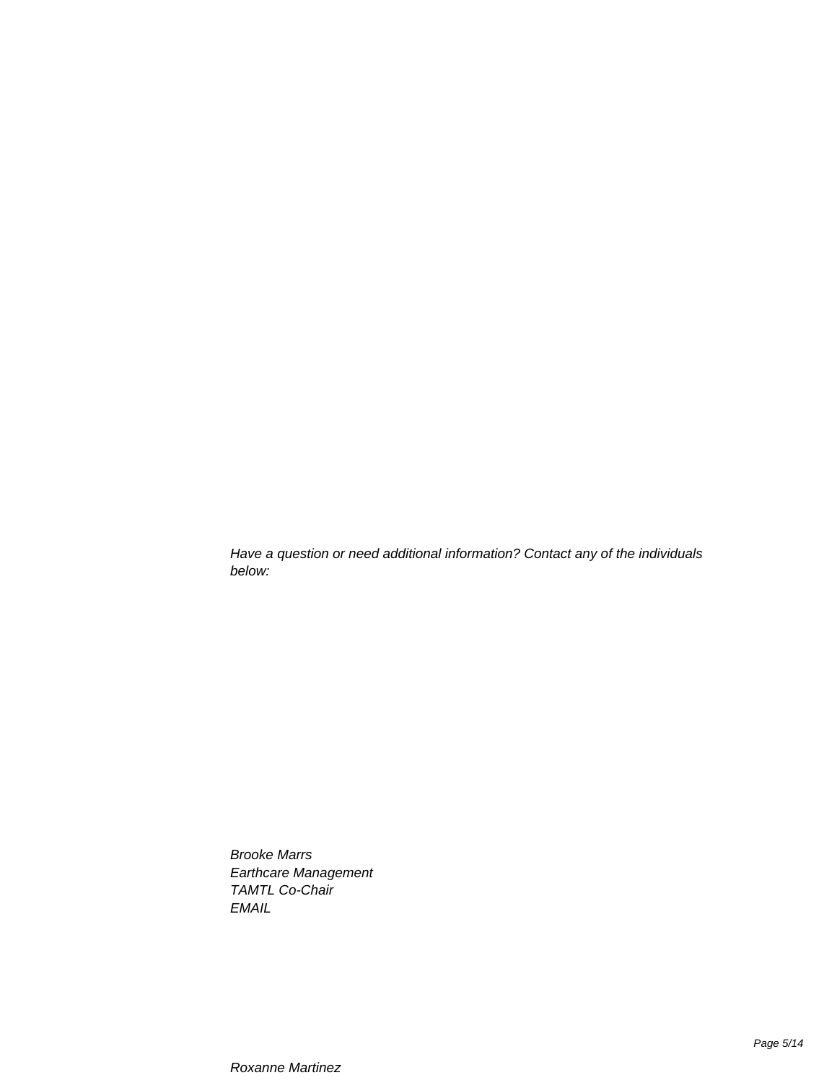Have a question or need additional information? Contact any of the individuals below:

> **Brooke Marrs** Earthcare Management **TAMTL Co-Chair EMAIL**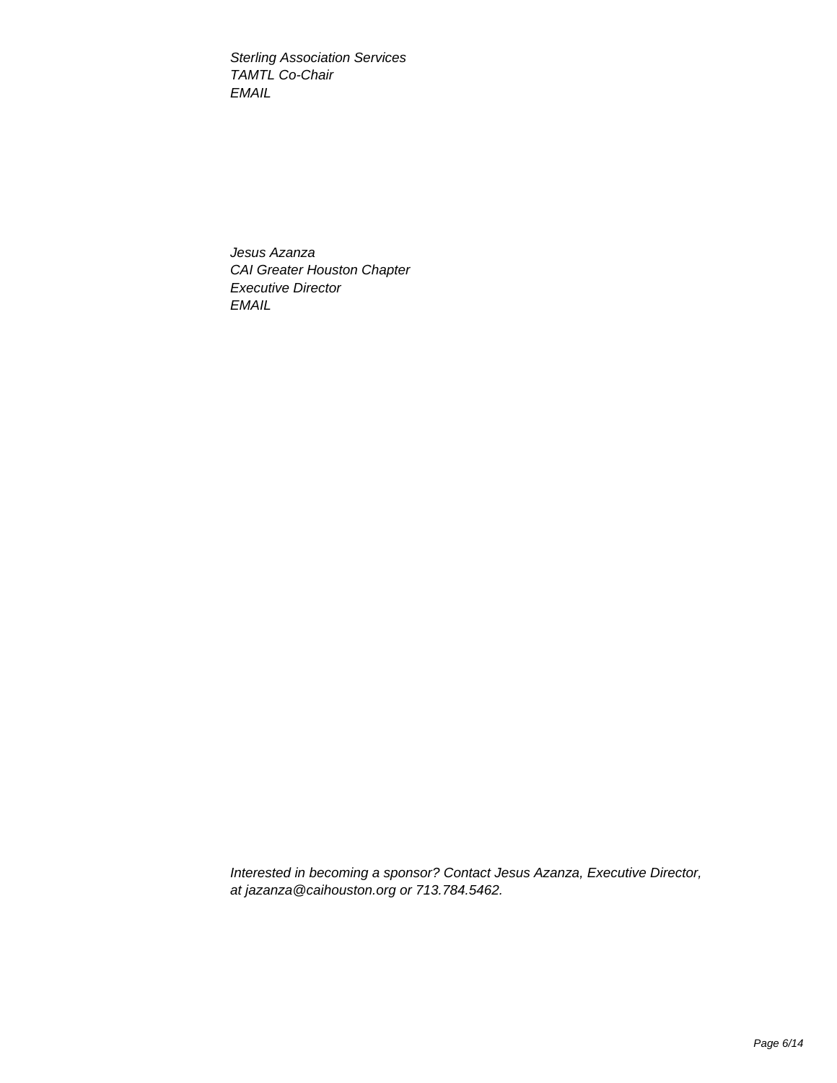**Sterling Association Services TAMTL Co-Chair EMAIL** 

Jesus Azanza CAI Greater Houston Chapter **Executive Director EMAIL** 

Interested in becoming a sponsor? Contact Jesus Azanza, Executive Director, at jazanza@caihouston.org or 713.784.5462.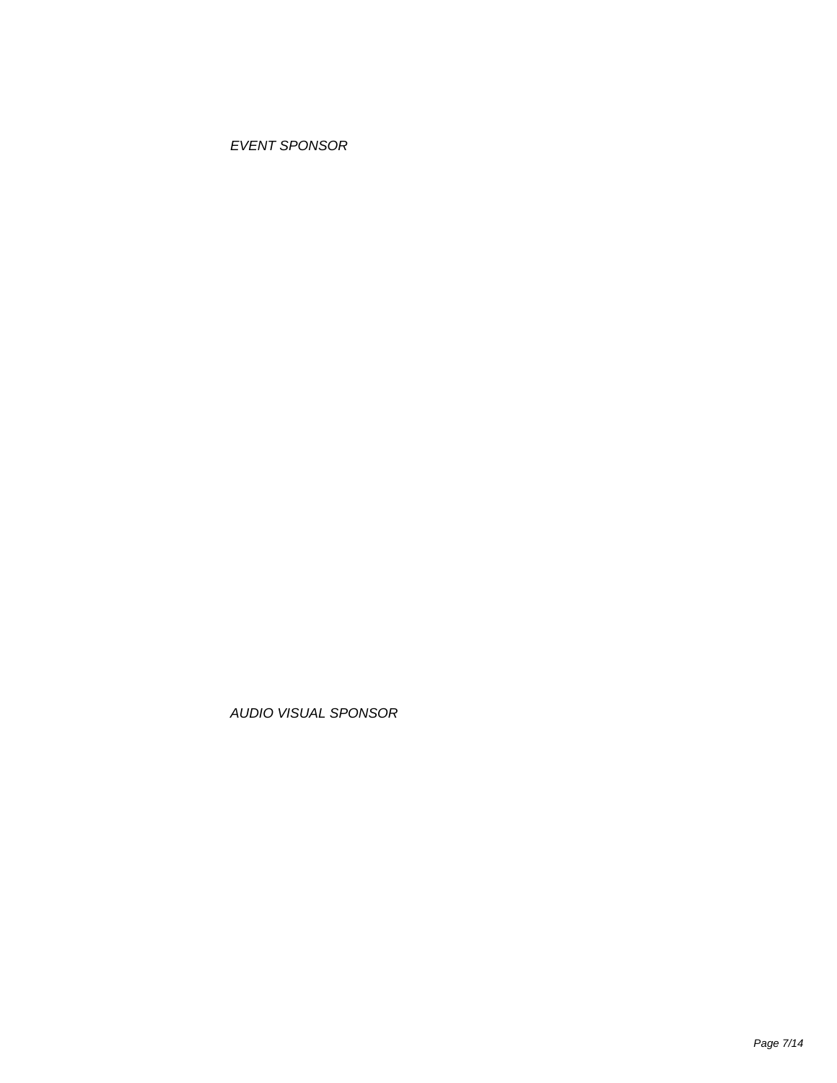**EVENT SPONSOR** 

AUDIO VISUAL SPONSOR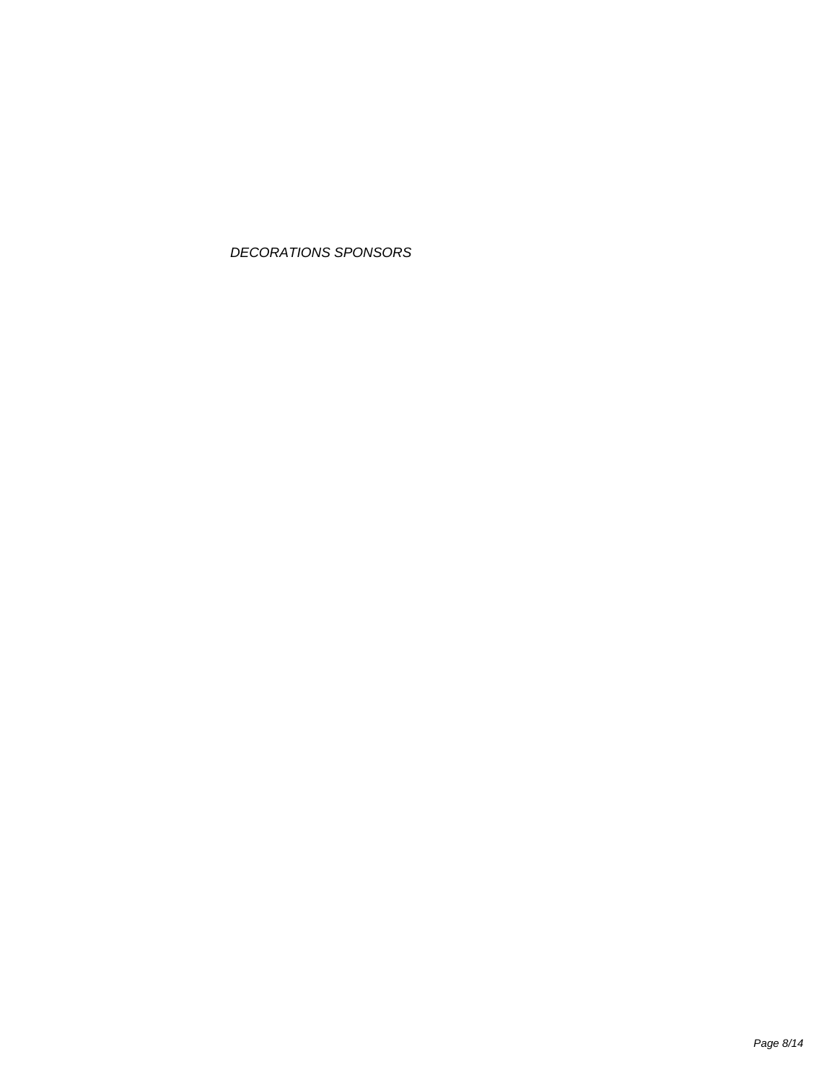DECORATIONS SPONSORS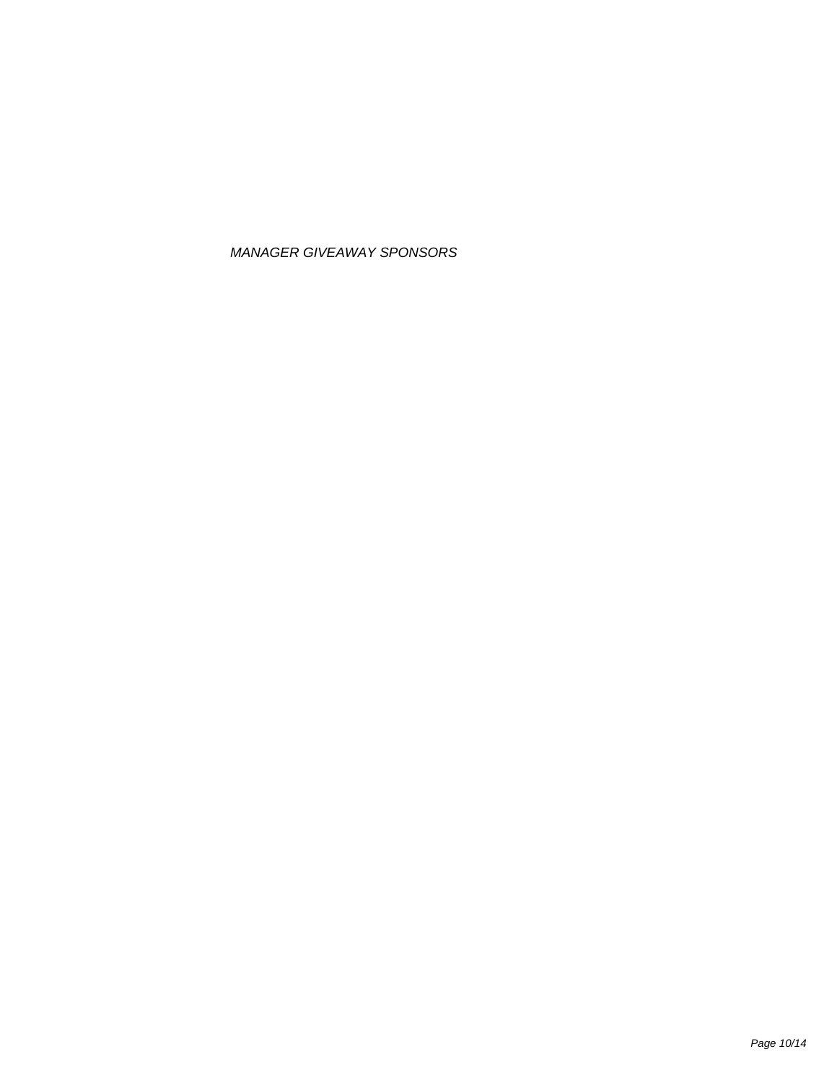## MANAGER GIVEAWAY SPONSORS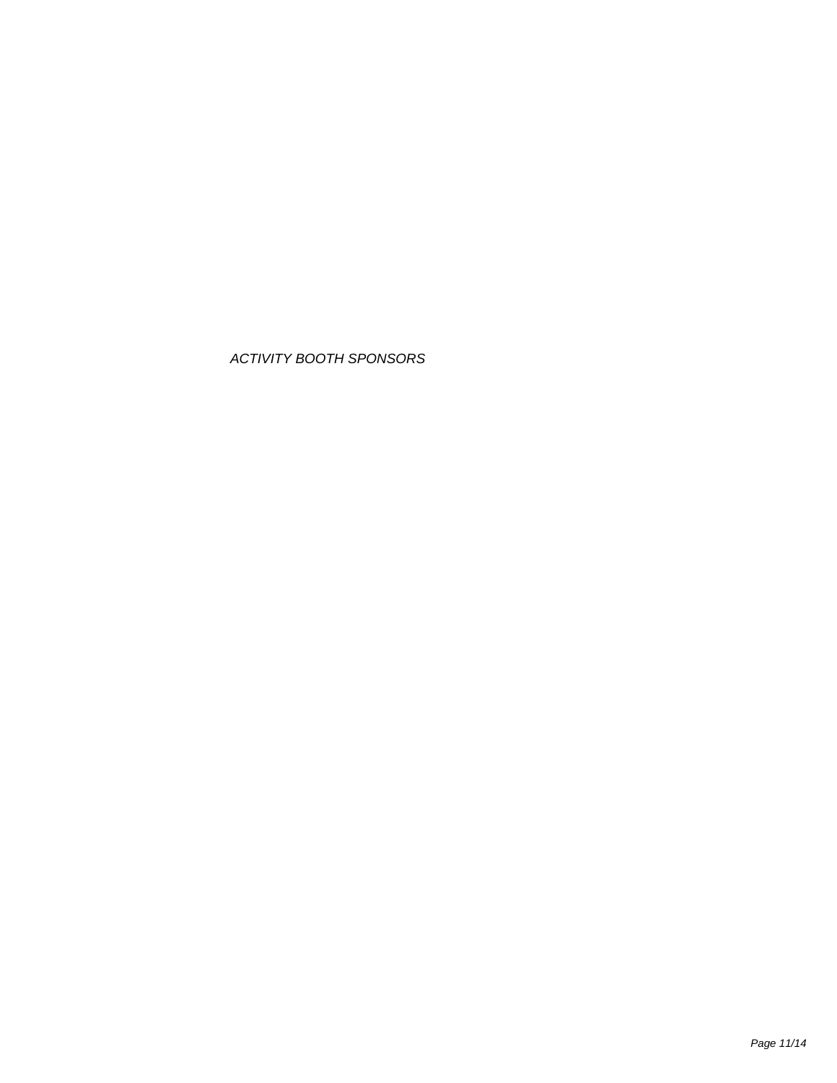## **ACTIVITY BOOTH SPONSORS**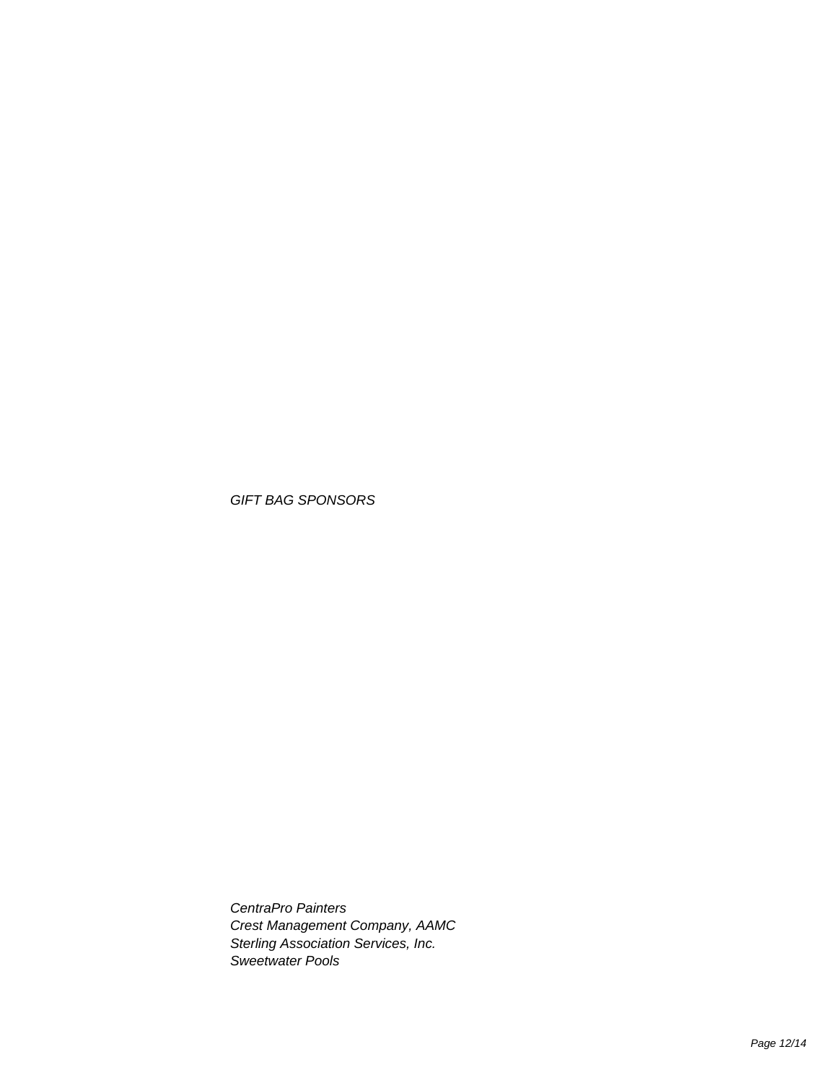**GIFT BAG SPONSORS** 

CentraPro Painters Crest Management Company, AAMC Sterling Association Services, Inc. Sweetwater Pools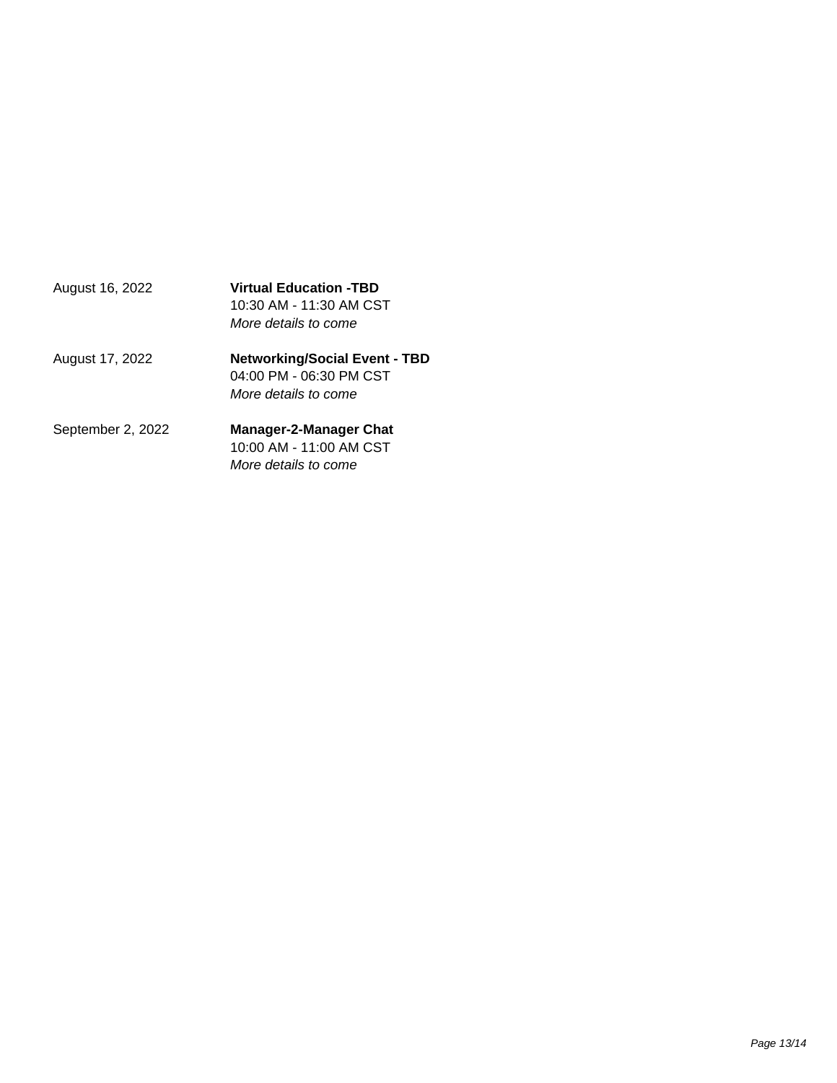| August 16, 2022   | <b>Virtual Education -TBD</b><br>10:30 AM - 11:30 AM CST<br>More details to come        |
|-------------------|-----------------------------------------------------------------------------------------|
| August 17, 2022   | <b>Networking/Social Event - TBD</b><br>04:00 PM - 06:30 PM CST<br>More details to come |
| September 2, 2022 | <b>Manager-2-Manager Chat</b><br>10:00 AM - 11:00 AM CST<br>More details to come        |